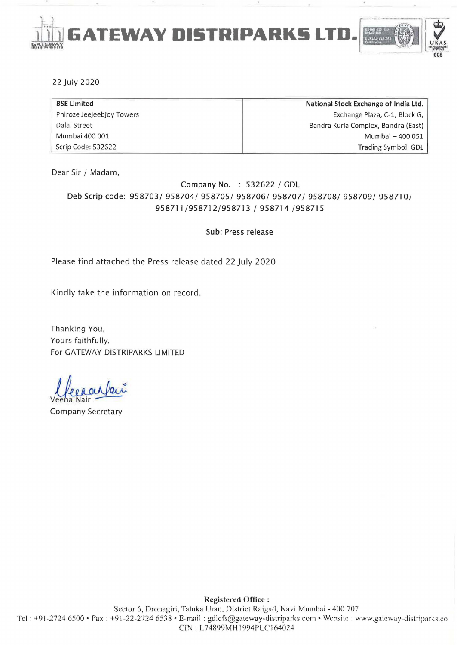

#### 22 July 2020

| <b>BSE Limited</b>        | National Stock Exchange of India Ltd. |
|---------------------------|---------------------------------------|
| Phiroze Jeejeebjoy Towers | Exchange Plaza, C-1, Block G,         |
| Dalal Street              | Bandra Kurla Complex, Bandra (East)   |
| Mumbai 400 001            | Mumbai - 400 051                      |
| Scrip Code: 532622        | Trading Symbol: GDL                   |

Dear Sir / Madam,

# Company No. : 532622 / GDL Deb Scrip code: 958703/ 958704/ 958705/ 958706/ 958707/ 958708/ 958709/ 958710/ 958711/958712/958713 / 958714 /958715

Sub: Press release

Please find attached the Press release dated 22 July 2020

Kindly take the information on record.

Thanking You, Yours faithfully, For GATEWAY DISTRIPARKS LIMITED

Veena Mecranbui

Company Secretary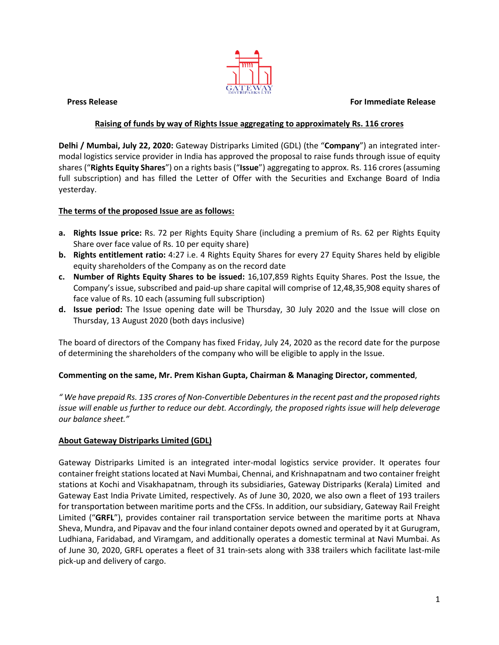#### **Press Release For Immediate Release**



## **Raising of funds by way of Rights Issue aggregating to approximately Rs. 116 crores**

**Delhi / Mumbai, July 22, 2020:** Gateway Distriparks Limited (GDL) (the "**Company**") an integrated intermodal logistics service provider in India has approved the proposal to raise funds through issue of equity shares ("**Rights Equity Shares**") on a rights basis ("**Issue**") aggregating to approx. Rs. 116 crores (assuming full subscription) and has filled the Letter of Offer with the Securities and Exchange Board of India yesterday.

### **The terms of the proposed Issue are as follows:**

- **a. Rights Issue price:** Rs. 72 per Rights Equity Share (including a premium of Rs. 62 per Rights Equity Share over face value of Rs. 10 per equity share)
- **b. Rights entitlement ratio:** 4:27 i.e. 4 Rights Equity Shares for every 27 Equity Shares held by eligible equity shareholders of the Company as on the record date
- **c. Number of Rights Equity Shares to be issued:** 16,107,859 Rights Equity Shares. Post the Issue, the Company's issue, subscribed and paid-up share capital will comprise of 12,48,35,908 equity shares of face value of Rs. 10 each (assuming full subscription)
- **d. Issue period:** The Issue opening date will be Thursday, 30 July 2020 and the Issue will close on Thursday, 13 August 2020 (both days inclusive)

The board of directors of the Company has fixed Friday, July 24, 2020 as the record date for the purpose of determining the shareholders of the company who will be eligible to apply in the Issue.

### **Commenting on the same, Mr. Prem Kishan Gupta, Chairman & Managing Director, commented**,

*" We have prepaid Rs. 135 crores of Non-Convertible Debenturesin the recent past and the proposed rights issue will enable us further to reduce our debt. Accordingly, the proposed rights issue will help deleverage our balance sheet."*

### **About Gateway Distriparks Limited (GDL)**

Gateway Distriparks Limited is an integrated inter-modal logistics service provider. It operates four container freight stations located at Navi Mumbai, Chennai, and Krishnapatnam and two container freight stations at Kochi and Visakhapatnam, through its subsidiaries, Gateway Distriparks (Kerala) Limited and Gateway East India Private Limited, respectively. As of June 30, 2020, we also own a fleet of 193 trailers for transportation between maritime ports and the CFSs. In addition, our subsidiary, Gateway Rail Freight Limited ("**GRFL**"), provides container rail transportation service between the maritime ports at Nhava Sheva, Mundra, and Pipavav and the four inland container depots owned and operated by it at Gurugram, Ludhiana, Faridabad, and Viramgam, and additionally operates a domestic terminal at Navi Mumbai. As of June 30, 2020, GRFL operates a fleet of 31 train-sets along with 338 trailers which facilitate last-mile pick-up and delivery of cargo.